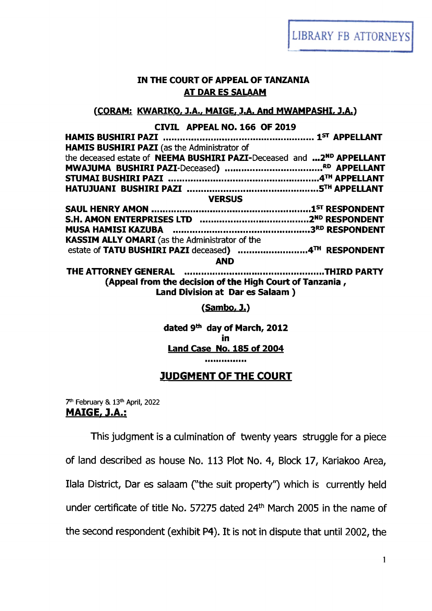**LIBRARY FB ATTORNEYS** 

### **IN THE COURT OF APPEAL OF TANZANIA AT DAR ES SALAAM**

### **(CORAM: KWARIKO, J.A., MAIGE, J.A. And MWAMPASHI, J.A.)**

#### **CIVIL APPEAL NO. 166 OF 2019**

| HAMIS BUSHIRI PAZI (as the Administrator of                                                 |  |
|---------------------------------------------------------------------------------------------|--|
| the deceased estate of NEEMA BUSHIRI PAZI-Deceased and  2ND APPELLANT                       |  |
|                                                                                             |  |
|                                                                                             |  |
|                                                                                             |  |
| <b>VERSUS</b>                                                                               |  |
|                                                                                             |  |
|                                                                                             |  |
|                                                                                             |  |
| KASSIM ALLY OMARI (as the Administrator of the                                              |  |
|                                                                                             |  |
| <b>AND</b>                                                                                  |  |
|                                                                                             |  |
| (Appeal from the decision of the High Court of Tanzania,<br>Land Division at Dar es Salaam) |  |
| <u>(Sambo, J.)</u>                                                                          |  |

**dated 9th day of March, 2012 in Land Case No. 185 of 2004**

,,,,,,,,,,,,,,,

### JUDGMENT OF THE COURT

**7th February &. 13th April, 2022** MAIGE, J.A.:

This judgment is a culmination of twenty years struggle for a piece of land described as house No. 113 Plot No. 4, Block 17, Kariakoo Area, Ilala District, Dar es salaam ("the suit property") which is currently held under certificate of title No. 57275 dated 24<sup>th</sup> March 2005 in the name of the second respondent (exhibit P4). It is not in dispute that until 2002, the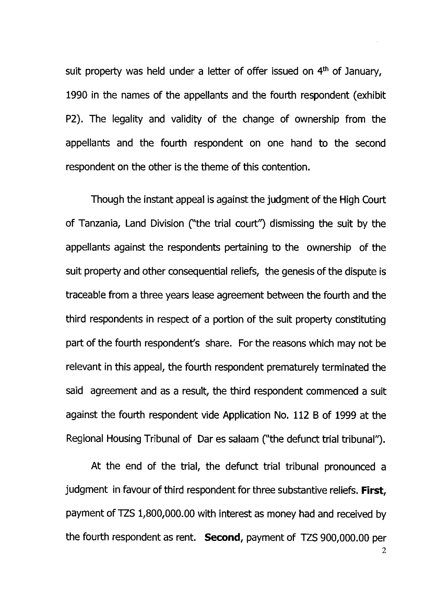suit property was held under a letter of offer issued on 4<sup>th</sup> of January, 1990 in the names of the appellants and the fourth respondent (exhibit P2). The legality and validity of the change of ownership from the appellants and the fourth respondent on one hand to the second respondent on the other is the theme of this contention.

Though the instant appeal is against the judgment of the High Court of Tanzania, Land Division C'the trial court"') dismissing the suit by the appellants against the respondents pertaining to the ownership of the suit property and other consequential reliefs, the genesis of the dispute is traceable from a three years lease agreement between the fourth and the third respondents in respect of a portion of the suit property constituting part of the fourth respondent's share. For the reasons which may not be relevant in this appeal, the fourth respondent prematurely terminated the said agreement and as a result, the third respondent commenced a suit against the fourth respondent vide Application No. 112 B of 1999 at the Regional Housing Tribunal of Dar es salaam ("the defunct trial tribunal").

At the end of the trial, the defunct trial tribunal pronounced a judgment in favour of third respondent for three substantive reliefs. First, payment of TZS 1,800,000.00 with interest as money had and received by the fourth respondent as rent. Second, payment of TZS 900,000.00 per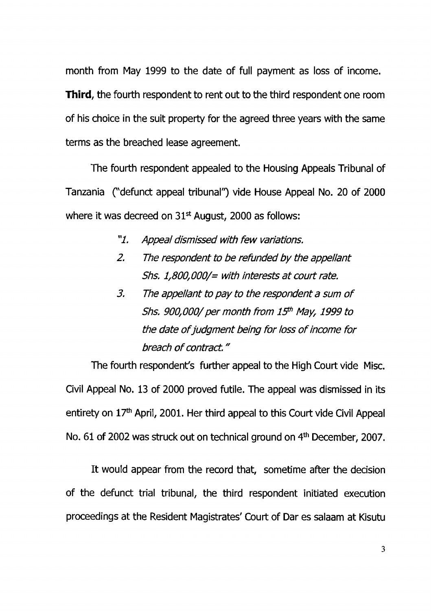month from May 1999 to the date of full payment as loss of income. **Third, the fourth respondent to rent out to the third respondent one room** of his choice in the suit property for the agreed three years with the same terms as the breached lease agreement.

The fourth respondent appealed to the Housing Appeals Tribunal of Tanzania ("defunct appeal tribunal") vide House Appeal No. 20 of 2000 where it was decreed on  $31<sup>st</sup>$  August, 2000 as follows:

- *"1. Appeal dismissed with few variations.*
- *2. The respondent to be refunded by the appellant Shs. 1,800,000/= with interests at court rate.*
- *3.* The appellant to pay to the respondent a sum of *Shs. 900,000/ per month from 15# May, 1999 to the date o f judgment being for loss o f income for breach o f contract*."

The fourth respondent's further appeal to the High Court vide Misc. Civil Appeal No. 13 of 2000 proved futile. The appeal was dismissed in its entirety on  $17<sup>th</sup>$  April, 2001. Her third appeal to this Court vide Civil Appeal No. 61 of 2002 was struck out on technical ground on 4<sup>th</sup> December, 2007.

It would appear from the record that, sometime after the decision of the defunct trial tribunal, the third respondent initiated execution proceedings at the Resident Magistrates' Court of Dar es salaam at Kisutu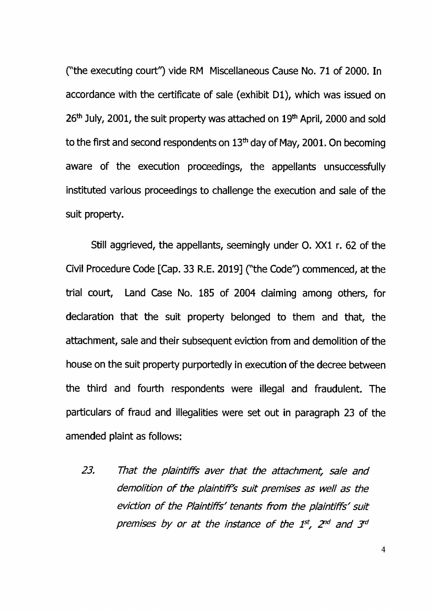("the executing court") vide RM Miscellaneous Cause No. 71 of 2000. In accordance with the certificate of sale (exhibit D1), which was issued on 26<sup>th</sup> July, 2001, the suit property was attached on 19<sup>th</sup> April, 2000 and sold to the first and second respondents on  $13<sup>th</sup>$  day of May, 2001. On becoming aware of the execution proceedings, the appellants unsuccessfully instituted various proceedings to challenge the execution and sale of the suit property.

Still aggrieved, the appellants, seemingly under O. XXI r. 62 of the Civil Procedure Code [Cap. 33 R.E. 2019] C'the Code") commenced, at the trial court, Land Case No. 185 of 2004 claiming among others, for declaration that the suit property belonged to them and that, the attachment, sale and their subsequent eviction from and demolition of the house on the suit property purportedly in execution of the decree between the third and fourth respondents were illegal and fraudulent. The particulars of fraud and illegalities were set out in paragraph 23 of the amended plaint as follows:

*23. That the plaintiffs aver that the attachment, sale and demolition o f the plaintiff's suit premises as well as the eviction o f the Plaintiffs' tenants from the plaintiffs' suit premises by or at the instance o f the 1st, 2nd and 3rd*

*4*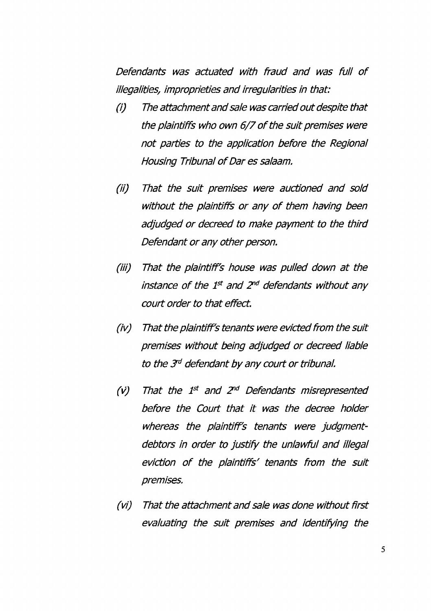*Defendants was actuated with fraud and was full of illegalities/ improprieties and irregularities in that:*

- *(i) The attachment and sale was carried out despite that the plaintiffs who own 6/7 o f the suit premises were not parties to the application before the Regional Housing Tribunal of Dar es salaam.*
- *(ii) That the suit premises were auctioned and sold without the plaintiffs or any o f them having been adjudged or decreed to make payment to the third Defendant or any other person.*
- *(iii) That the plaintiff's house was pulled down at the instance o f the 1st and 2nd defendants without any court order to that effect.*
- *(iv) That the plaintiff's tenants were evicted from the suit premises without being adjudged or decreed liable to the J d defendant by any court or tribunal.*
- *(v) That the 1st and 2nd Defendants misrepresented before the Court that it was the decree holder whereas the plaintiffs tenants were judgmentdebtors in order to justify the unlawful and illegal eviction o f the plaintiffs' tenants from the suit premises.*
- *(vi) That the attachment and sale was done without first evaluating the suit premises and identifying the*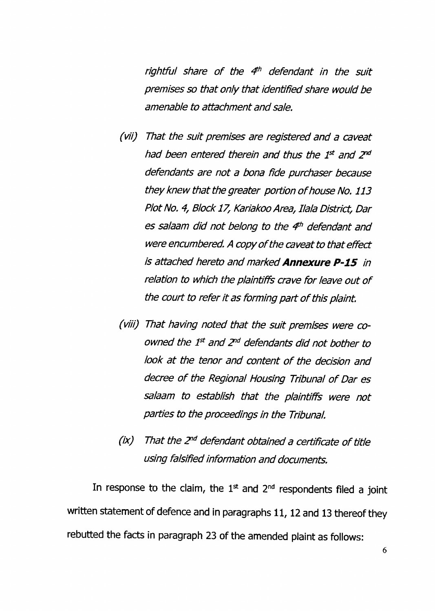*rightful share o f the 4h defendant in the suit premises so that oniy that identified share would be amenable to attachment and sale.*

- *(vii) That the suit premises are registered and a caveat had been entered therein and thus the 1st and 2nd defendants are not a bona fide purchaser because they knew that the greater portion o f house No. 113 Plot No. 4, Block 17, Kariakoo Area, Ilala District, Dar es salaam did not belong to the 4h defendant and were encumbered. A copy o f the caveat to that effect is attached hereto and marked Annexure P -15 in relation to which the plaintiffs crave for leave out o f the court to refer it as forming part o f this plaint.*
- *(viii) That having noted that the suit premises were coowned the 1st and 2nd defendants did not bother to look at the tenor and content o f the decision and decree o f the Regional Housing Tribunal o f Dar es salaam to establish that the plaintiffs were not parties to the proceedings in the Tribunal.*
- *(ix) That the 2nd defendant obtained a certificate o f title using falsified information and documents.*

In response to the claim, the  $1<sup>st</sup>$  and  $2<sup>nd</sup>$  respondents filed a joint written statement of defence and in paragraphs 11, 12 and 13 thereof they rebutted the facts in paragraph 23 of the amended plaint as follows: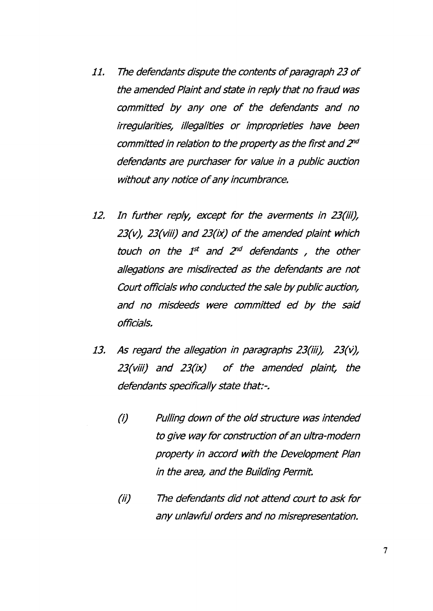- *11. The defendants dispute the contents o f paragraph 23 o f the amended Plaint and state in repiy that no fraud was committed by any one o f the defendants and no irregularities, illegalities or improprieties have been committed in relation to the property as the first and 2nd defendants are purchaser for value in a public auction without any notice o f any incumbrance.*
- *12. In further reply, except for the averments in 23(iii), 23(v), 23(viii) and 23(ix) o f the amended plaint which touch on the 1st and 2nd defendants , the other allegations are misdirected as the defendants are not Court officials who conducted the sale by public auction, and no misdeeds were committed ed by the said officials.*
- *13. As regard the allegation in paragraphs 23(iii), 23(v), 23(viii) and 23(ix) o f the amended plaint, the defendants specifically state that:-.*
	- *(i) Pulling down o f the old structure was intended to give way for construction o f an uitra-modern property in accord with the Development Plan in the area, and the Building Permit.*
	- *(ii) The defendants did not attend court to ask for any unlawful orders and no misrepresentation.*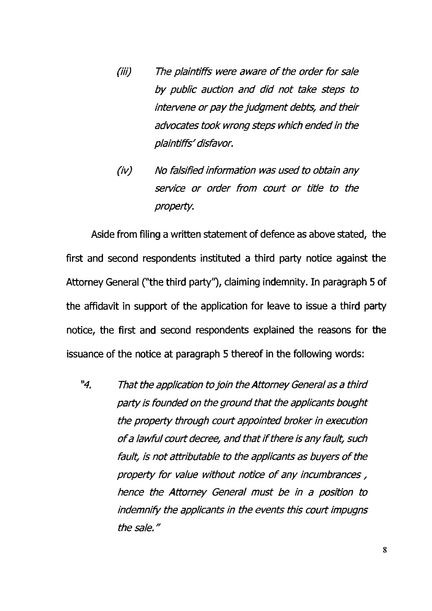- *(iii) The plaintiffs were aware o f the order for sale by public auction and did not take steps to intervene or pay the judgment debts, and their advocates took wrong steps which ended in the plaintiffs'disfavor.*
- *(iv) No falsified information was used to obtain any service or order from court or title to the property.*

Aside from filing a written statement of defence as above stated, the first and second respondents instituted a third party notice against the Attorney General ("the third party"), claiming indemnity. In paragraph 5 of the affidavit in support of the application for leave to issue a third party notice, the first and second respondents explained the reasons for the issuance of the notice at paragraph 5 thereof in the following words:

*"4. That the application to join the Attorney General as a third party is founded on the ground that the applicants bought the property through court appointed broker in execution <sup>o</sup> f a lawful court decree, and that if there is any fault, such fault, is not attributable to the applicants as buyers o f the property for value without notice o f any incumbrances, hence the Attorney General must be in a position to indemnify the applicants in the events this court impugns the sale."*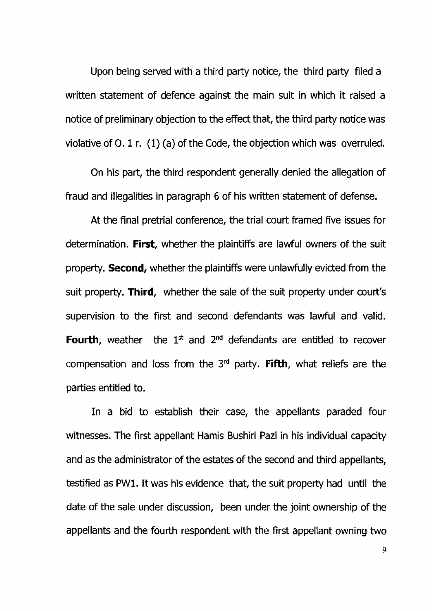Upon being served with a third party notice, the third party filed a written statement of defence against the main suit in which it raised a notice of preliminary objection to the effect that, the third party notice was violative of 0.1 r. (1) (a) of the Code, the objection which was overruled.

On his part, the third respondent generally denied the allegation of fraud and illegalities in paragraph 6 of his written statement of defense.

At the final pretrial conference, the trial court framed five issues for determination. First, whether the plaintiffs are lawful owners of the suit property. **Second,** whether the plaintiffs were unlawfully evicted from the suit property. Third, whether the sale of the suit property under court's supervision to the first and second defendants was lawful and valid. Fourth, weather the  $1<sup>st</sup>$  and  $2<sup>nd</sup>$  defendants are entitled to recover compensation and loss from the *3rd* party. Fifth, what reliefs are the parties entitled to.

In a bid to establish their case, the appellants paraded four witnesses. The first appellant Hamis Bushiri Pazi in his individual capacity and as the administrator of the estates of the second and third appellants, testified as PW1, It was his evidence that, the suit property had until the date of the sale under discussion, been under the joint ownership of the appellants and the fourth respondent with the first appellant owning two

9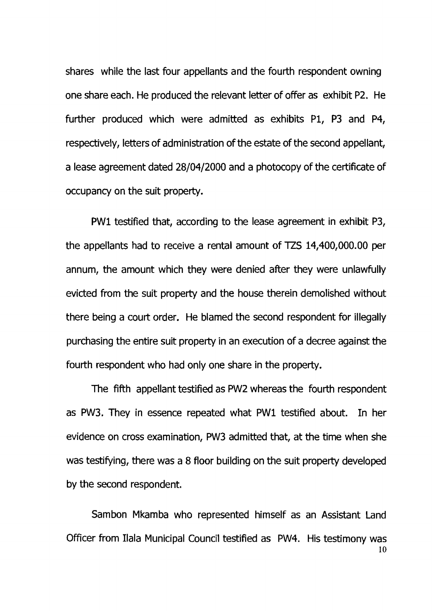shares while the last four appellants and the fourth respondent owning one share each. He produced the relevant letter of offer as exhibit P2, He further produced which were admitted as exhibits PI, P3 and P4, respectively, letters of administration of the estate of the second appellant, a lease agreement dated 28/04/2000 and a photocopy of the certificate of occupancy on the suit property.

PW1 testified that, according to the lease agreement in exhibit P3, the appellants had to receive a rental amount of TZS 14,400,000.00 per annum, the amount which they were denied after they were unlawfully evicted from the suit property and the house therein demolished without there being a court order. He blamed the second respondent for illegally purchasing the entire suit property in an execution of a decree against the fourth respondent who had only one share in the property.

The fifth appellant testified as PW2 whereas the fourth respondent as PW3. They in essence repeated what PW1 testified about. In her evidence on cross examination, PW3 admitted that, at the time when she was testifying, there was a 8 floor building on the suit property developed by the second respondent.

Sambon Mkamba who represented himself as an Assistant Land Officer from Ilala Municipal Council testified as PW4. His testimony was 10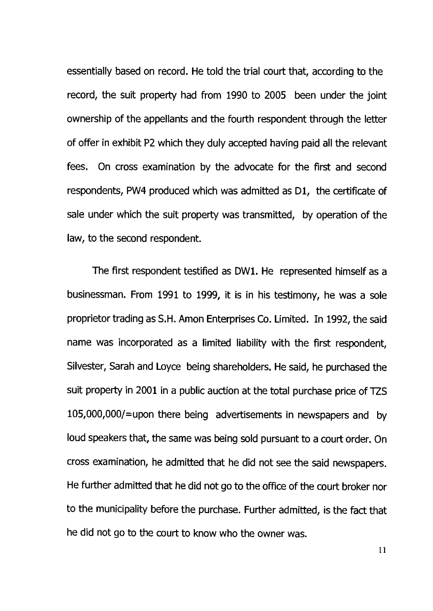essentially based on record. He told the trial court that, according to the record, the suit property had from 1990 to 2005 been under the joint ownership of the appellants and the fourth respondent through the letter of offer in exhibit P2 which they duly accepted having paid all the relevant fees. On cross examination by the advocate for the first and second respondents, PW4 produced which was admitted as D1, the certificate of sale under which the suit property was transmitted, by operation of the law, to the second respondent.

The first respondent testified as DW1. He represented himself as a businessman. From 1991 to 1999, it is in his testimony, he was a sole proprietor trading as S.H. Amon Enterprises Co. Limited. In 1992, the said name was incorporated as a limited liability with the first respondent, Silvester, Sarah and Loyce being shareholders. He said, he purchased the suit property in 2001 in a public auction at the total purchase price of TZS 105,000,000/=upon there being advertisements in newspapers and by loud speakers that, the same was being sold pursuant to a court order. On cross examination, he admitted that he did not see the said newspapers. He further admitted that he did not go to the office of the court broker nor to the municipality before the purchase. Further admitted, is the fact that he did not go to the court to know who the owner was.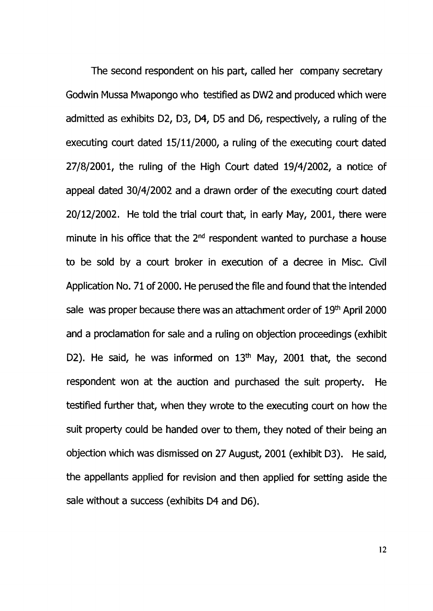The second respondent on his part, called her company secretary Godwin Mussa Mwapongo who testified as DW2 and produced which were admitted as exhibits *02,* D3, D4, D5 and D6, respectively, a ruling of the executing court dated 15/11/2000, a ruling of the executing court dated 27/8/2001, the ruling of the High Court dated 19/4/2002, a notice of appeal dated 30/4/2002 and a drawn order of the executing court dated 20/12/2002. He told the trial court that, in early May, 2001, there were minute in his office that the  $2<sup>nd</sup>$  respondent wanted to purchase a house to be sold by a court broker in execution of a decree in Misc. Civil Application No. 71 of 2000. He perused the file and found that the intended sale was proper because there was an attachment order of 19<sup>th</sup> April 2000 and a proclamation for sale and a ruling on objection proceedings (exhibit D2). He said, he was informed on  $13<sup>th</sup>$  May, 2001 that, the second respondent won at the auction and purchased the suit property. He testified further that, when they wrote to the executing court on how the suit property could be handed over to them, they noted of their being an objection which was dismissed on 27 August, 2001 (exhibit D3). He said, the appellants applied for revision and then applied for setting aside the sale without a success (exhibits D4 and D6).

12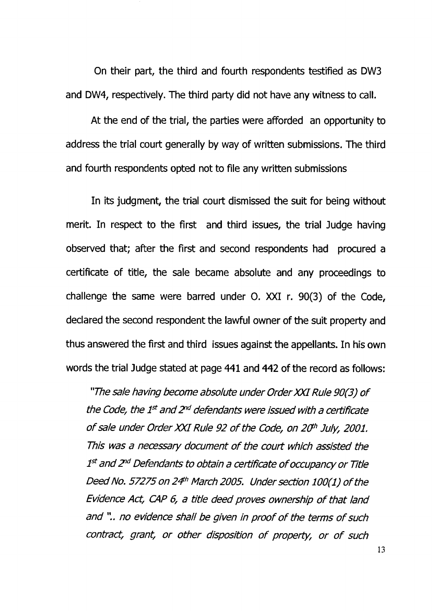On their part, the third and fourth respondents testified as DW3 and DW4, respectively. The third party did not have any witness to call.

At the end of the trial, the parties were afforded an opportunity to address the trial court generally by way of written submissions. The third and fourth respondents opted not to file any written submissions

In its judgment, the trial court dismissed the suit for being without merit. In respect to the first and third issues, the trial Judge having observed that; after the first and second respondents had procured a certificate of title, the sale became absolute and any proceedings to challenge the same were barred under 0. XXI r. 90(3) of the Code, declared the second respondent the lawful owner of the suit property and thus answered the first and third issues against the appellants. In his own words the trial Judge stated at page 441 and 442 of the record as follows:

*"The sale having become absolute under Order XXI Rule 90(3) o f the Code, the 1st and 2nd defendants were issued with a certificate <sup>o</sup> f sale under Order XXI Rule 92 o f the Code, on 2Cfh July, 2001. This was a necessary document o f the court which assisted the 1st and 2nd Defendants to obtain a certificate o f occupancy or Title Deed No. 57275on 24h March 2005. Under section 100(1) o f the Evidence Act, CAP 6, a title deed proves ownership o f that land and* ", *no evidence shall be given in proof o f the terms o f such contract, grant, or other disposition o f property, or o f such*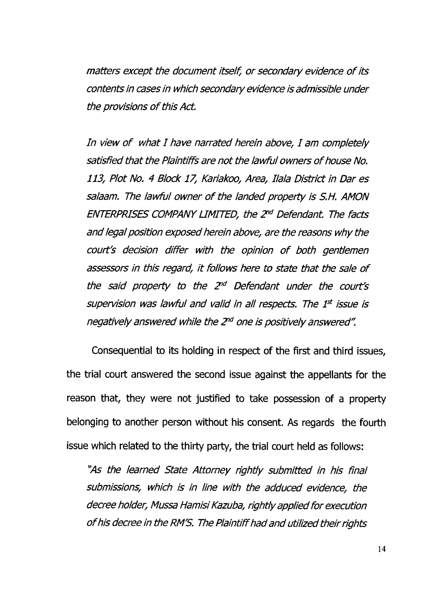*matters except the document itself, or secondary evidence o f its contents in cases in which secondary evidence is admissible under the provisions o f this Act.*

*In view o f what I have narrated herein above, I am completely satisfied that the Plaintiffs are not the lawful owners o f house No. 113, Plot No. 4 Block 17, Kariakoo, Area, Ilala District in Dar es salaam. The law ful owner o f the landed property is S.H. AMON ENTERPRISES COMPANY LIMITED, the 2nd Defendant. The facts and legal position exposed herein above, are the reasons why the court's decision differ with the opinion o f both gentlemen assessors in this regard, it follows here to state that the sale o f the said property to the 2nd Defendant under the court's supervision was lawful and valid in all respects. The 1<sup>st</sup> issue is negatively answered while the 2nd one is positively answered".*

Consequential to its holding in respect of the first and third issues, the trial court answered the second issue against the appellants for the reason that, they were not justified to take possession of a property belonging to another person without his consent. As regards the fourth issue which related to the thirty party, the trial court held as follows:

*"As the learned State Attorney rightly submitted in his final submissions, which is in line with the adduced evidence, the decree holder, Mussa Hamisi Kazuba, rightly applied for execution <sup>o</sup> f his decree in the RM'S. The Plaintiff had and utilized their rights*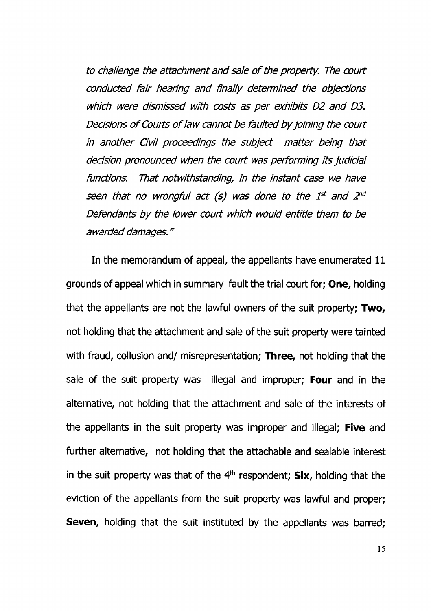*to challenge the attachment and sale o f the property. The court conducted fair hearing and finally determined the objections which were dismissed with costs as per exhibits D2 and D3. Decisions o f Courts o f law cannot be faulted by joining the court in another Civil proceedings the subject matter being that decision pronounced when the court was performing its judicial functions. That notwithstanding, in the instant case we have seen that no wrongful act (s) was done to the 1st and 2nd Defendants by the lower court which would entitle them to be awarded damages."*

In the memorandum of appeal, the appellants have enumerated 11 grounds of appeal which in summary fault the trial court for; One, holding that the appellants are not the lawful owners of the suit property; Two, not holding that the attachment and sale of the suit property were tainted with fraud, collusion and/ misrepresentation; Three, not holding that the sale of the suit property was illegal and improper; Four and in the alternative, not holding that the attachment and sale of the interests of the appellants in the suit property was improper and illegal; Five and further alternative, not holding that the attachable and sealable interest in the suit property was that of the  $4<sup>th</sup>$  respondent; Six, holding that the eviction of the appellants from the suit property was lawful and proper; **Seven,** holding that the suit instituted by the appellants was barred;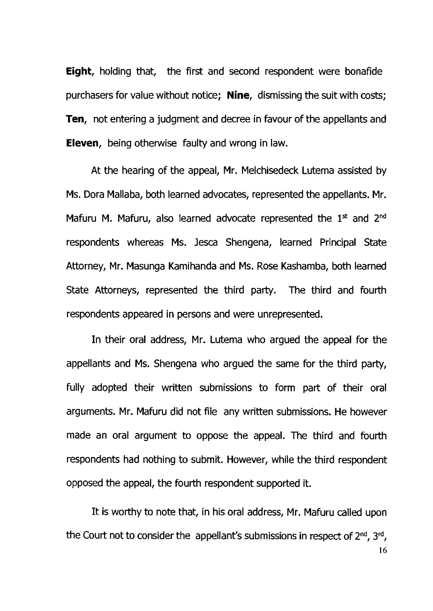Eight, holding that, the first and second respondent were bonafide purchasers for value without notice: **Nine**, dismissing the suit with costs; **Ten**, not entering a judgment and decree in favour of the appellants and Eleven, being otherwise faulty and wrong in law.

At the hearing of the appeal, Mr. Melchisedeck Lutema assisted by Ms. Dora Mallaba, both learned advocates, represented the appellants. Mr. Mafuru M. Mafuru, also learned advocate represented the 1<sup>st</sup> and 2<sup>nd</sup> respondents whereas Ms. Jesca Shengena, learned Principal State Attorney, Mr. Masunga Kamihanda and Ms. Rose Kashamba, both learned State Attorneys, represented the third party. The third and fourth respondents appeared in persons and were unrepresented.

In their oral address, Mr. Lutema who argued the appeal for the appellants and Ms. Shengena who argued the same for the third party, fully adopted their written submissions to form part of their oral arguments. Mr. Mafuru did not file any written submissions. He however made an oral argument to oppose the appeal. The third and fourth respondents had nothing to submit. However, while the third respondent opposed the appeal, the fourth respondent supported it.

It is worthy to note that, in his oral address, Mr. Mafuru called upon the Court not to consider the appellant's submissions in respect of 2nd, 3rd,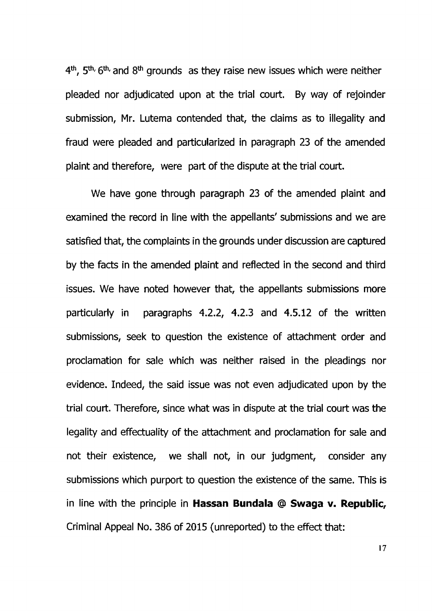4th, 5th, 6th, and 8th grounds as they raise new issues which were neither pleaded nor adjudicated upon at the trial court. By way of rejoinder submission, Mr. Lutema contended that, the claims as to illegality and fraud were pleaded and particularized in paragraph 23 of the amended plaint and therefore, were part of the dispute at the trial court.

We have gone through paragraph 23 of the amended plaint and examined the record in line with the appellants' submissions and we are satisfied that, the complaints in the grounds under discussion are captured by the facts in the amended plaint and reflected in the second and third issues. We have noted however that, the appellants submissions more particularly in paragraphs 4.2.2, 4.2.3 and 4.5.12 of the written submissions, seek to question the existence of attachment order and proclamation for sale which was neither raised in the pleadings nor evidence. Indeed, the said issue was not even adjudicated upon by the trial court. Therefore, since what was in dispute at the trial court was the legality and effectuality of the attachment and proclamation for sale and not their existence, we shall not, in our judgment, consider any submissions which purport to question the existence of the same. This is in line with the principle in Hassan Bundala @ Swaga v. Republic, Criminal Appeal No. 386 of 2015 (unreported) to the effect that:

17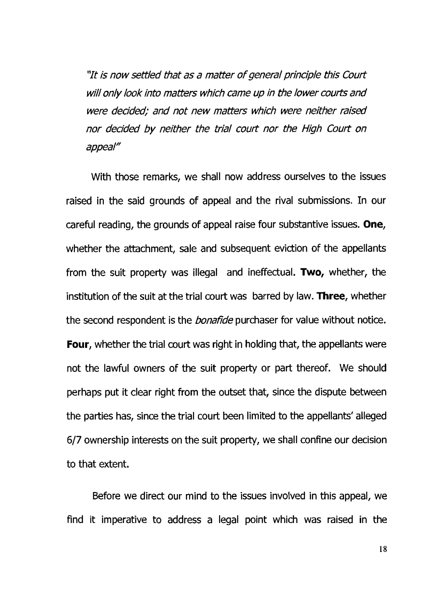*"It is now settled that as a matter o f general principle this Court* will only look into matters which came up in the lower courts and *were decided; and not new matters which were neither raised nor decided by neither the trial court nor the High Court on appeal"*

With those remarks, we shall now address ourselves to the issues raised in the said grounds of appeal and the rival submissions. In our careful reading, the grounds of appeal raise four substantive issues. One, whether the attachment, sale and subsequent eviction of the appellants from the suit property was illegal and ineffectual. Two, whether, the institution of the suit at the trial court was barred by law. Three, whether the second respondent is the *bonafide* purchaser for value without notice. **Four,** whether the trial court was right in holding that, the appellants were not the lawful owners of the suit property or part thereof. We should perhaps put it clear right from the outset that, since the dispute between the parties has, since the trial court been limited to the appellants' alleged 6/7 ownership interests on the suit property, we shall confine our decision to that extent.

Before we direct our mind to the issues involved in this appeal, we find it imperative to address a legal point which was raised in the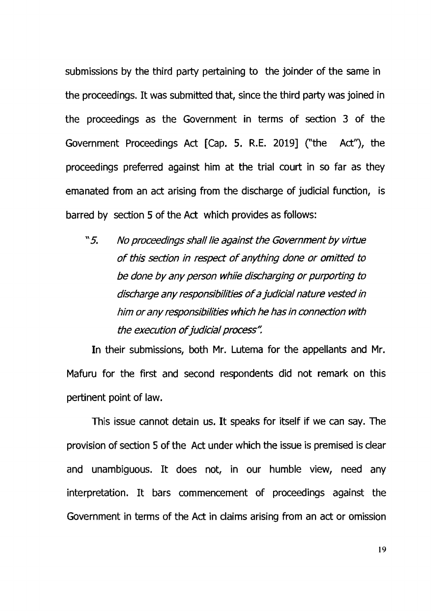submissions by the third party pertaining to the joinder of the same in the proceedings. It was submitted that, since the third party was joined in the proceedings as the Government in terms of section 3 of the Government Proceedings Act [Cap. 5. R.E. 2019] ("the Act"), the proceedings preferred against him at the trial court in so far as they emanated from an act arising from the discharge of judicial function, is barred by section 5 of the Act which provides as follows:

"5. *No proceedings shaii He against the Government by virtue <sup>o</sup> f this section in respect o f anything done or omitted to be done by any person whiie discharging or purporting to discharge any responsibilities o f a judicial nature vested in him or any responsibilities which he has in connection with the execution o f judicial process".*

In their submissions, both Mr. Lutema for the appellants and Mr. Mafuru for the first and second respondents did not remark on this pertinent point of law.

This issue cannot detain us. It speaks for itself if we can say. The provision of section 5 of the Act under which the issue is premised is clear and unambiguous. It does not, in our humble view, need any interpretation. It bars commencement of proceedings against the Government in terms of the Act in claims arising from an act or omission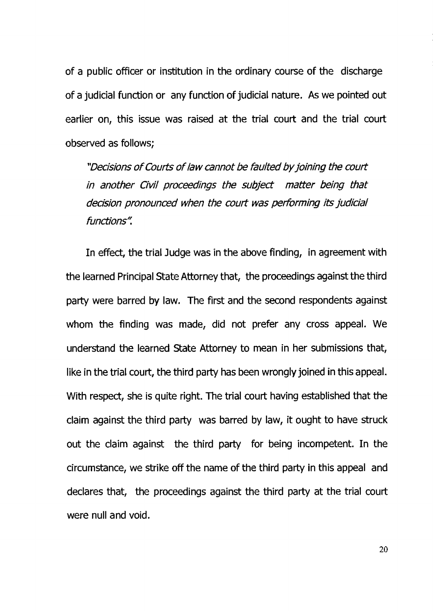of a public officer or institution in the ordinary course of the discharge of a judicial function or any function of judicial nature. As we pointed out earlier on, this issue was raised at the trial court and the trial court observed as follows;

*"Decisions o f Courts o f law cannot be faulted byjoining the court in another Civil proceedings the subject matter being that decision pronounced when the court was performing its judicial functions"*

In effect, the trial Judge was in the above finding, in agreement with the learned Principal State Attorney that, the proceedings against the third party were barred by law. The first and the second respondents against whom the finding was made, did not prefer any cross appeal. We understand the learned State Attorney to mean in her submissions that, like in the trial court, the third party has been wrongly joined in this appeal. With respect, she is quite right. The trial court having established that the claim against the third party was barred by law, it ought to have struck out the claim against the third party for being incompetent. In the circumstance, we strike off the name of the third party in this appeal and declares that, the proceedings against the third party at the trial court were null and void.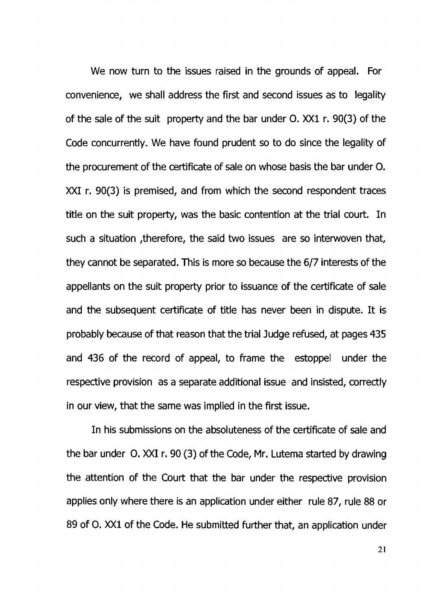We now turn to the issues raised in the grounds of appeal. For convenience, we shall address the first and second issues as to legality of the sale of the suit property and the bar under 0. XXI r. 90(3) of the Code concurrently. We have found prudent so to do since the legality of the procurement of the certificate of sale on whose basis the bar under 0. XXI r. 90(3) is premised, and from which the second respondent traces title on the suit property, was the basic contention at the trial court. In such a situation therefore, the said two issues are so interwoven that, they cannot be separated. This is more so because the 6/7 interests of the appellants on the suit property prior to issuance of the certificate of sale and the subsequent certificate of title has never been in dispute. It is probably because of that reason that the trial Judge refused, at pages 435 and 436 of the record of appeal, to frame the estoppel under the respective provision as a separate additional issue and insisted, correctly in our view, that the same was implied in the first issue.

In his submissions on the absoluteness of the certificate of sale and the bar under 0. XXI r. 90 (3) of the Code, Mr. Lutema started by drawing the attention of the Court that the bar under the respective provision applies only where there is an application under either rule 87, rule 88 or 89 of 0. XXI of the Code. He submitted further that, an application under

21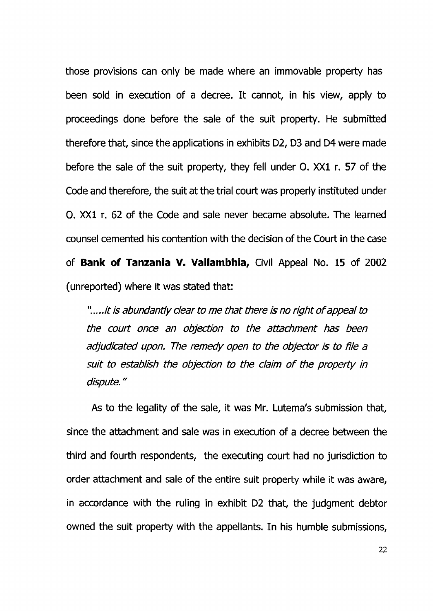those provisions can only be made where an immovable property has been sold in execution of a decree. It cannot, in his view, apply to proceedings done before the sale of the suit property. He submitted therefore that, since the applications in exhibits D2, D3 and D4 were made before the sale of the suit property, they fell under 0. XXI r. 57 of the Code and therefore, the suit at the trial court was properly instituted under 0. XXI r. 62 of the Code and sale never became absolute. The learned counsel cemented his contention with the decision of the Court in the case of Bank of Tanzania V. Vallambhia, Civil Appeal No. 15 of 2002 (unreported) where it was stated that:

*".....it is abundantly dear to me that there is no right o f appeal to the court once an objection to the attachment has been adjudicated upon. The remedy open to the objector is to file a suit to establish the objection to the claim o f the property in dispute."*

As to the legality of the sale, it was Mr. Lutema's submission that, since the attachment and sale was in execution of a decree between the third and fourth respondents, the executing court had no jurisdiction to order attachment and sale of the entire suit property while it was aware, in accordance with the ruling in exhibit D2 that, the judgment debtor owned the suit property with the appellants. In his humble submissions,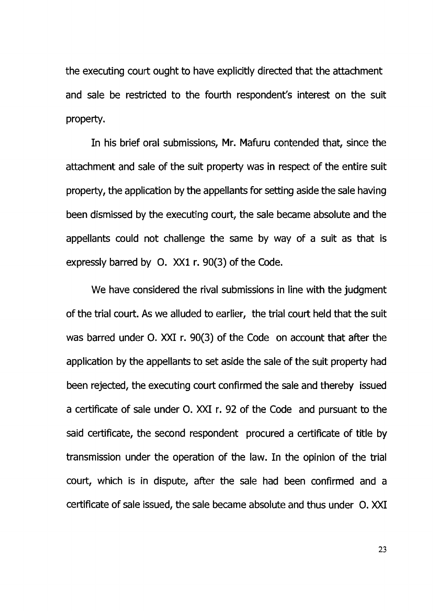the executing court ought to have explicitly directed that the attachment and sale be restricted to the fourth respondent's interest on the suit property.

In his brief oral submissions, Mr. Mafuru contended that, since the attachment and sale of the suit property was in respect of the entire suit property, the application by the appellants for setting aside the sale having been dismissed by the executing court, the sale became absolute and the appellants could not challenge the same by way of a suit as that is expressly barred by 0. XXI r. 90(3) of the Code.

We have considered the rival submissions in line with the judgment of the trial court. As we alluded to earlier, the trial court held that the suit was barred under 0. XXI r. 90(3) of the Code on account that after the application by the appellants to set aside the sale of the suit property had been rejected, the executing court confirmed the sale and thereby issued a certificate of sale under 0. XXI r. 92 of the Code and pursuant to the said certificate, the second respondent procured a certificate of title by transmission under the operation of the law. In the opinion of the trial court, which is in dispute, after the sale had been confirmed and a certificate of sale issued, the sale became absolute and thus under 0. XXI

23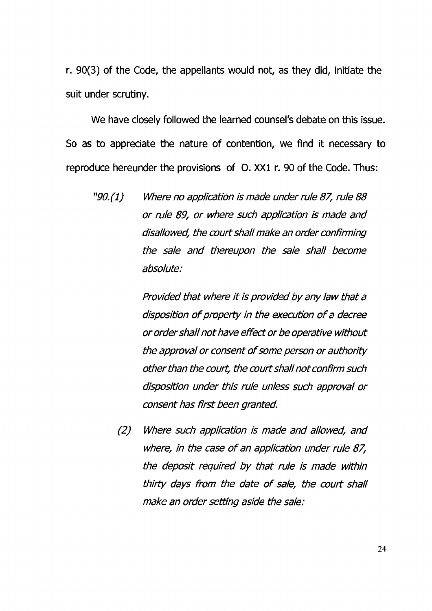r. 90(3) of the Code, the appellants would not, as they did, initiate the suit under scrutiny.

We have closely followed the learned counsel's debate on this issue. So as to appreciate the nature of contention, we find it necessary to reproduce hereunder the provisions of 0. XXI r. 90 of the Code. Thus:

*"90. (1) Where no application is made under rule 87, ruie 88 or ruie 89, or where such application is made and disallowed, the court shall make an order confirming the sale and thereupon the sale shall become absolute:*

> *Provided that where it is provided by any law that a disposition o f property in the execution o f a decree or order shall not have effect or be operative without the approval or consent o f some person or authority other than the court, the court shall not confirm such disposition under this ruie unless such approval or consent has first been granted.*

*(2) Where such application is made and allowed, and where, in the case o f an application under rule 87, the deposit required by that ruie is made within thirty days from the date o f sale, the court shall make an order setting aside the sale:*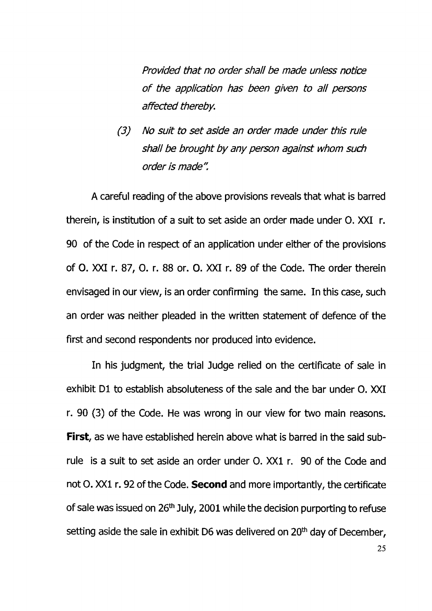*Provided that no order shall be made unless notice <sup>o</sup> f the application has been given to a il persons affected thereby.*

*(3) No suit to set aside an order made under this rule shall be brought by any person against whom such order is made".*

A careful reading of the above provisions reveals that what is barred therein, is institution of a suit to set aside an order made under 0. XXI r. 90 of the Code in respect of an application under either of the provisions of 0. XXI r. 87, 0. r. 88 or. 0. XXI r. 89 of the Code, The order therein envisaged in our view, is an order confirming the same. In this case, such an order was neither pleaded in the written statement of defence of the first and second respondents nor produced into evidence.

In his judgment, the trial Judge relied on the certificate of sale in exhibit D1 to establish absoluteness of the sale and the bar under 0. XXI r. 90 (3) of the Code. He was wrong in our view for two main reasons. **First**, as we have established herein above what is barred in the said subrule is a suit to set aside an order under 0. XXI r. 90 of the Code and not O. XX1 r. 92 of the Code. **Second** and more importantly, the certificate of sale was issued on 26<sup>th</sup> July, 2001 while the decision purporting to refuse setting aside the sale in exhibit D6 was delivered on  $20<sup>th</sup>$  day of December,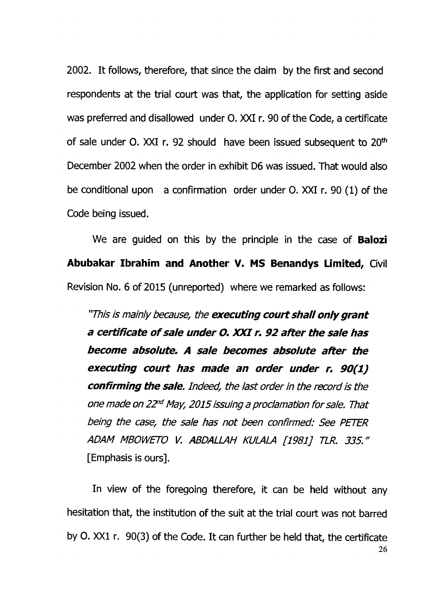2002. It follows, therefore, that since the claim by the first and second respondents at the trial court was that, the application for setting aside was preferred and disallowed under 0. XXI r. 90 of the Code, a certificate of sale under  $O$ . XXI r. 92 should have been issued subsequent to  $20<sup>th</sup>$ December 2002 when the order in exhibit D6 was issued. That would also be conditional upon a confirmation order under 0. XXI r. 90 (1) of the Code being issued.

We are guided on this by the principle in the case of **Balozi** Abubakar Ibrahim and Another V. MS Benandys Limited, Civil Revision No. 6 of 2015 (unreported) where we remarked as follows:

*"This is mainly because, the executing court shall only grant a ce rtifica te <sup>o</sup> f sale under O. X X I r. 92 a fte r the sale has becom e absolute. A sale becom es absolute a fte r the executing cou rt has m ade an order under r. 90(1) confirming the sale. Indeed, the last order in the record is the one made on 22nd May, 2015 issuing a proclamation for sale. That being the case, the sale has not been confirmed: See PETER ADAM MBOWETO V. ABDALLAH KULALA [1981] TLR. 335."* [Emphasis is ours].

In view of the foregoing therefore, it can be held without any hesitation that, the institution of the suit at the trial court was not barred by 0. XXI r. 90(3) of the Code. It can further be held that, the certificate **26**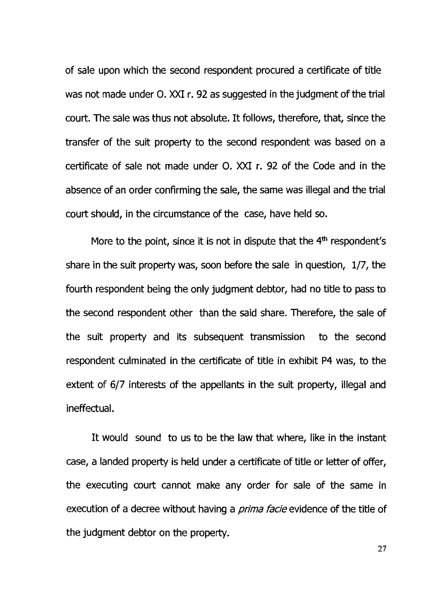of sale upon which the second respondent procured a certificate of title was not made under 0. XXI r. 92 as suggested in the judgment of the trial court. The sale was thus not absolute. It follows, therefore, that, since the transfer of the suit property to the second respondent was based on a certificate of sale not made under 0. XXI r. 92 of the Code and in the absence of an order confirming the sale, the same was illegal and the trial court should, in the circumstance of the case, have held so.

More to the point, since it is not in dispute that the  $4<sup>th</sup>$  respondent's share in the suit property was, soon before the sale in question, 1/7, the fourth respondent being the only judgment debtor, had no title to pass to the second respondent other than the said share. Therefore, the sale of the suit property and its subsequent transmission to the second respondent culminated in the certificate of title in exhibit P4 was, to the extent of 6/7 interests of the appellants in the suit property, illegal and ineffectual.

It would sound to us to be the law that where, like in the instant case, a landed property is held under a certificate of title or letter of offer, the executing court cannot make any order for sale of the same in execution of a decree without having a *prima facie* evidence of the title of the judgment debtor on the property.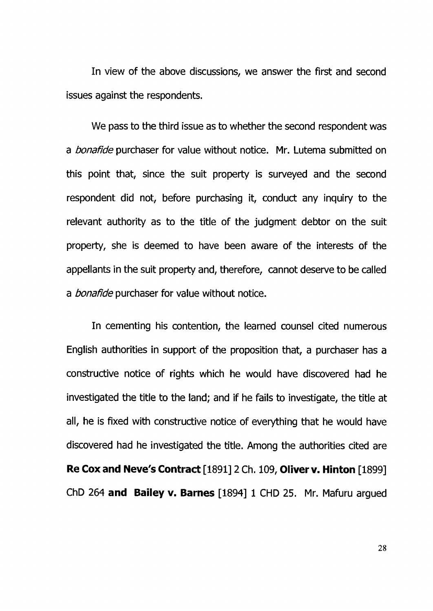In view of the above discussions, we answer the first and second issues against the respondents.

We pass to the third issue as to whether the second respondent was a *bonafide* purchaser for value without notice. Mr. Lutema submitted on this point that, since the suit property is surveyed and the second respondent did not, before purchasing it, conduct any inquiry to the relevant authority as to the title of the judgment debtor on the suit property, she is deemed to have been aware of the interests of the appellants in the suit property and, therefore, cannot deserve to be called a *bonafide* purchaser for value without notice.

In cementing his contention, the learned counsel cited numerous English authorities in support of the proposition that, a purchaser has a constructive notice of rights which he would have discovered had he investigated the title to the land; and if he fails to investigate, the title at all, he is fixed with constructive notice of everything that he would have discovered had he investigated the title. Among the authorities cited are Re Cox and Neve's Contract [1891] 2 Ch. 109, Oliver v. Hinton [1899] ChD 264 and Bailey v. Barnes [1894] 1 CHD 25. Mr. Mafuru argued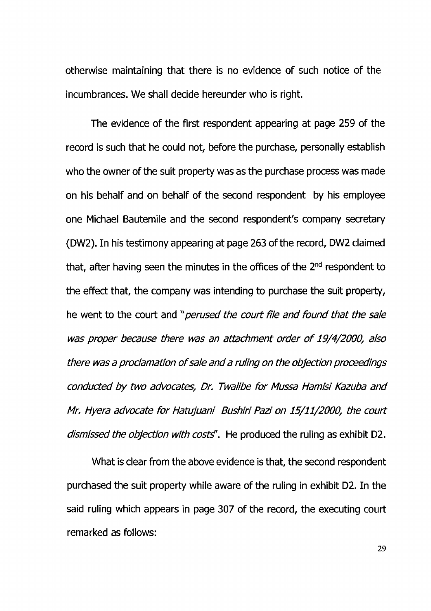otherwise maintaining that there is no evidence of such notice of the incumbrances. We shall decide hereunder who is right.

The evidence of the first respondent appearing at page 259 of the record is such that he could not, before the purchase, personally establish who the owner of the suit property was as the purchase process was made on his behalf and on behalf of the second respondent by his employee one Michael Bautemile and the second respondent's company secretary (DW2). In his testimony appearing at page 263 of the record, DW2 claimed that, after having seen the minutes in the offices of the 2<sup>nd</sup> respondent to the effect that, the company was intending to purchase the suit property, he went to the court and "*perused the court file and found that the sale was proper because there was an attachment order o f 19/4/2000, also there was a proclamation o f sale and a ruling on the objection proceedings conducted by two advocates, Dr, Twalibe for Mussa Hamisi Kazuba and Mr. Hyera advocate for Hatujuani Bushiri Pazi on 15/11/2000, the court dismissed the objection with costs*<sup>"</sup>. He produced the ruling as exhibit D2.

What is clear from the above evidence is that, the second respondent purchased the suit property while aware of the ruling in exhibit D2. In the said ruling which appears in page 307 of the record, the executing court remarked as follows: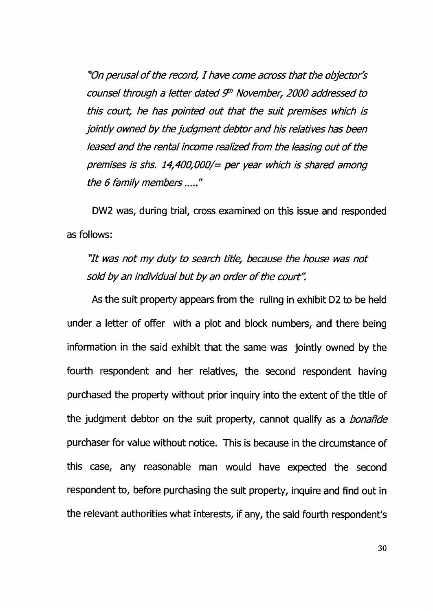*"On perusal o f the record, I have come across that the objector's counsel through a letter dated 9 h November, 2000 addressed to this court, he has pointed out that the suit premises which is jointly owned by the judgment debtor and his relatives has been leased and the rental income realized from the leasing out o f the premises is shs. 14,400,000/= per year which is shared among the 6 family members* ....."

DW2 was, during trial, cross examined on this issue and responded as follows:

*"It was not my duty to search title, because the house was not sold by an individual but by an order o f the court".*

As the suit property appears from the ruling in exhibit D2 to be held under a letter of offer with a plot and block numbers, and there being information in the said exhibit that the same was jointly owned by the fourth respondent and her relatives, the second respondent having purchased the property without prior inquiry into the extent of the title of the judgment debtor on the suit property, cannot qualify as a *bonaftde* purchaser for value without notice. This is because in the circumstance of this case, any reasonable man would have expected the second respondent to, before purchasing the suit property, inquire and find out in the relevant authorities what interests, if any, the said fourth respondent's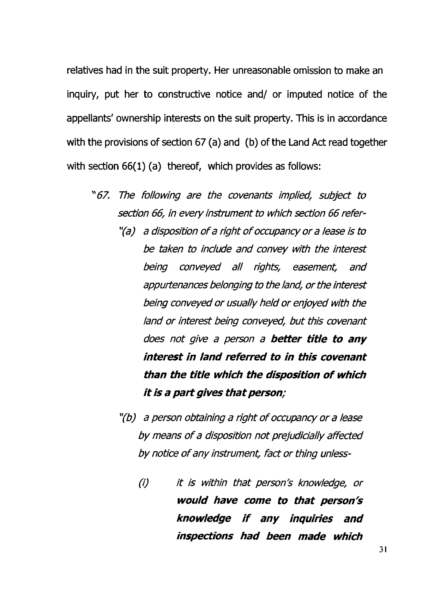relatives had in the suit property. Her unreasonable omission to make an inquiry, put her to constructive notice and/ or imputed notice of the appellants' ownership interests on the suit property. This is in accordance with the provisions of section 67 (a) and (b) of the Land Act read together with section 66(1) (a) thereof, which provides as follows:

- "67. *The following are the covenants implied, subject to section 66, in every instrument to which section 66 refer*-
	- *"(a) a disposition o f a right o f occupancy or a lease is to be taken to include and convey with the interest being conveyed a ll rights, easement, and appurtenances belonging to the land, or the interest being conveyed or usually held or enjoyed with the land or interest being conveyed, but this covenant does not give a person a b etter title to any in te re st in lan d referred to in th is covenant than the title <sup>w</sup> hich the disp osition <sup>o</sup> f w hich it is a p <sup>a</sup> rt g ives th <sup>a</sup> t person;*
	- *"(b) a person obtaining a right o f occupancy or a lease by means o f a disposition not prejudicially affected by notice o f any instrument, fact or thing unless*-
		- *(i) it is within that person's knowledge, or <sup>w</sup> ould have com e to th <sup>a</sup> t person's know ledge if any in q <sup>u</sup> irie s and inspection s had been m ade w hich*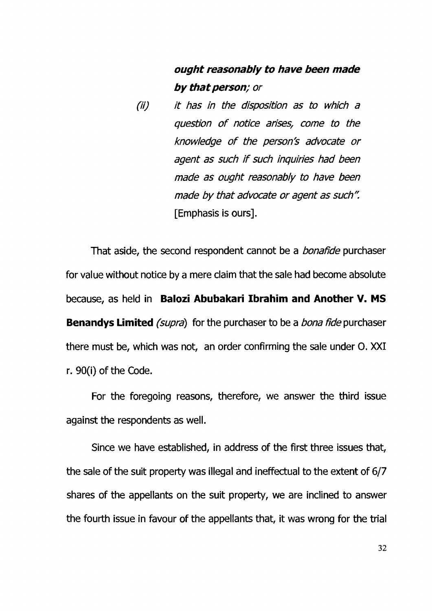# *ought reasonably to have been m ade b y th <sup>a</sup> t person; or*

*(ii) it has in the disposition as to which a question o f notice arisesf come to the knowledge o f the person's advocate or agent as such if such inquiries had been made as ought reasonably to have been made by that advocate or agent as such"* [Emphasis is ours].

That aside, the second respondent cannot be a *bonafide* purchaser for value without notice by a mere claim that the sale had become absolute because, as held in Balozi Abubakari Ibrahim and Another V. MS Benandys Limited *(supra)* for the purchaser to be a *bona fide* purchaser there must be, which was not, an order confirming the sale under O. XXI r. 90(i) of the Code.

For the foregoing reasons, therefore, we answer the third issue against the respondents as well.

Since we have established, in address of the first three issues that, the sale of the suit property was illegal and ineffectual to the extent of 6/7 shares of the appellants on the suit property, we are inclined to answer the fourth issue in favour of the appellants that, it was wrong for the trial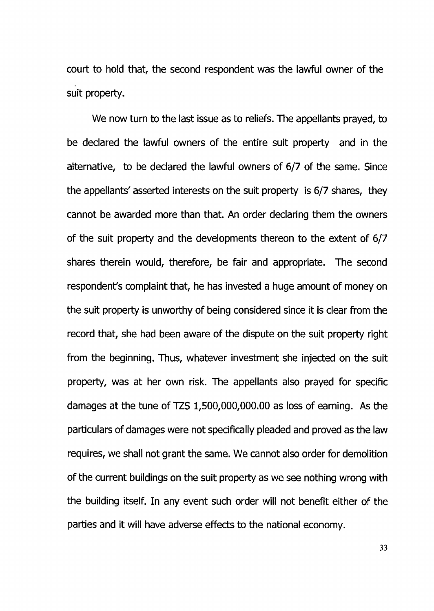court to hold that, the second respondent was the lawful owner of the suit property.

We now turn to the last issue as to reliefs. The appellants prayed, to be declared the lawful owners of the entire suit property and in the alternative, to be declared the lawful owners of 6/7 of the same. Since the appellants' asserted interests on the suit property is 6/7 shares, they cannot be awarded more than that. An order declaring them the owners of the suit property and the developments thereon to the extent of 6/7 shares therein would, therefore, be fair and appropriate. The second respondent's complaint that, he has invested a huge amount of money on the suit property is unworthy of being considered since it is clear from the record that, she had been aware of the dispute on the suit property right from the beginning. Thus, whatever investment she injected on the suit property, was at her own risk. The appellants also prayed for specific damages at the tune of TZS 1,500,000,000.00 as loss of earning. As the particulars of damages were not specifically pleaded and proved as the law requires, we shall not grant the same. We cannot also order for demolition of the current buildings on the suit property as we see nothing wrong with the building itself. In any event such order will not benefit either of the parties and it will have adverse effects to the national economy.